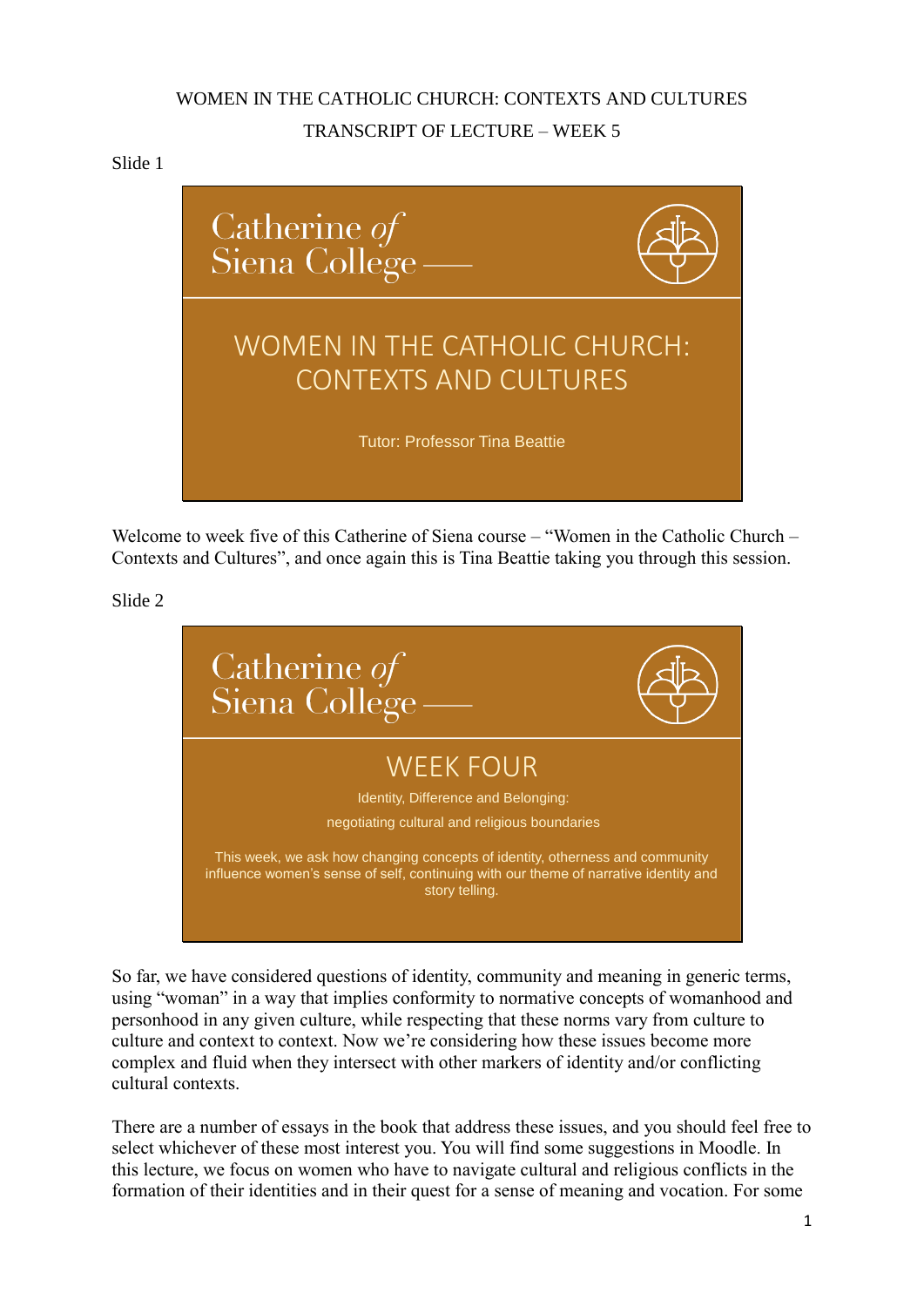# WOMEN IN THE CATHOLIC CHURCH: CONTEXTS AND CULTURES TRANSCRIPT OF LECTURE – WEEK 5

## Slide 1



Welcome to week five of this Catherine of Siena course – "Women in the Catholic Church – Contexts and Cultures", and once again this is Tina Beattie taking you through this session.

Slide 2



So far, we have considered questions of identity, community and meaning in generic terms, using "woman" in a way that implies conformity to normative concepts of womanhood and personhood in any given culture, while respecting that these norms vary from culture to culture and context to context. Now we're considering how these issues become more complex and fluid when they intersect with other markers of identity and/or conflicting cultural contexts.

There are a number of essays in the book that address these issues, and you should feel free to select whichever of these most interest you. You will find some suggestions in Moodle. In this lecture, we focus on women who have to navigate cultural and religious conflicts in the formation of their identities and in their quest for a sense of meaning and vocation. For some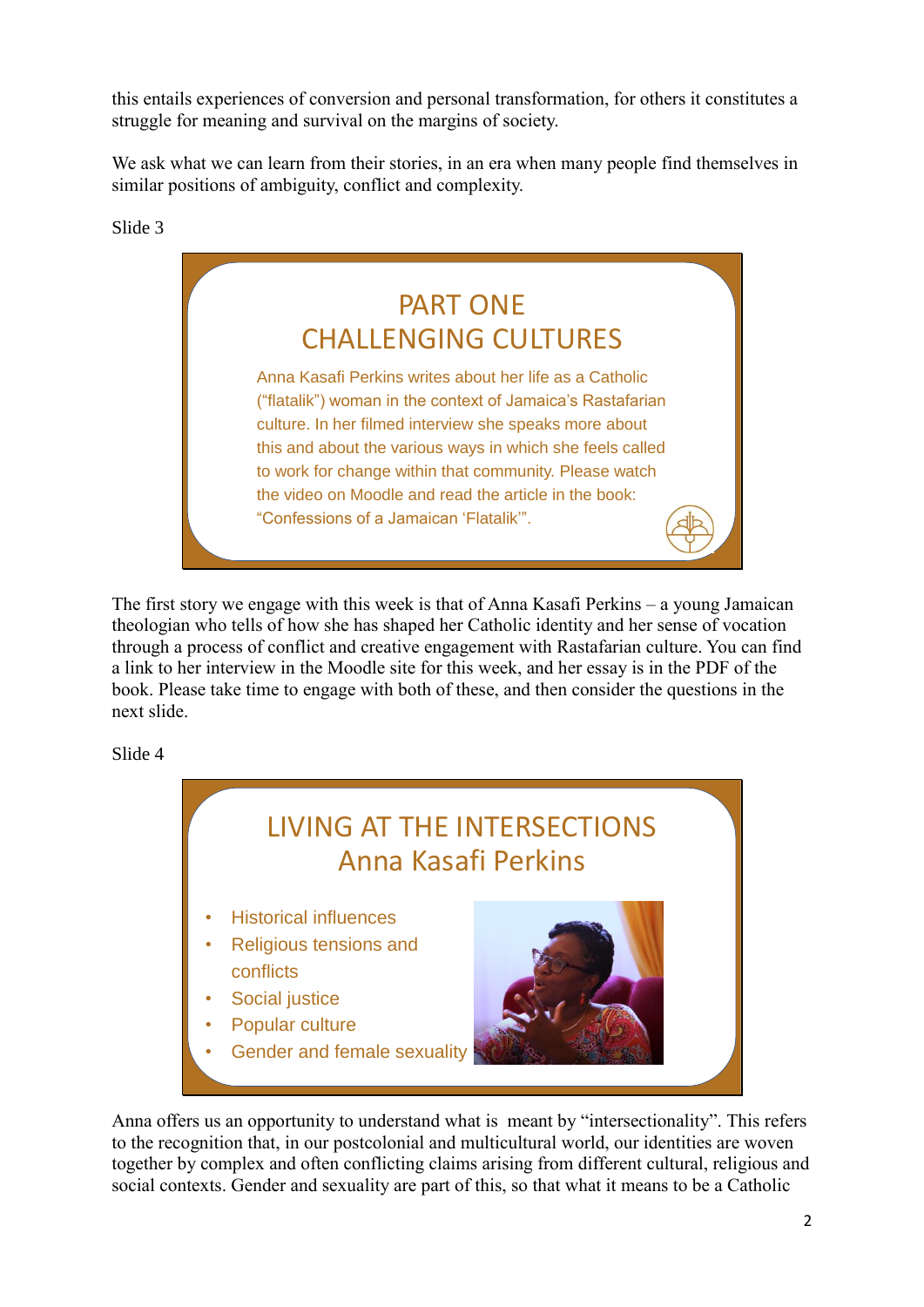this entails experiences of conversion and personal transformation, for others it constitutes a struggle for meaning and survival on the margins of society.

We ask what we can learn from their stories, in an era when many people find themselves in similar positions of ambiguity, conflict and complexity.

Slide 3



The first story we engage with this week is that of Anna Kasafi Perkins – a young Jamaican theologian who tells of how she has shaped her Catholic identity and her sense of vocation through a process of conflict and creative engagement with Rastafarian culture. You can find a link to her interview in the Moodle site for this week, and her essay is in the PDF of the book. Please take time to engage with both of these, and then consider the questions in the next slide.

Slide 4



Anna offers us an opportunity to understand what is meant by "intersectionality". This refers to the recognition that, in our postcolonial and multicultural world, our identities are woven together by complex and often conflicting claims arising from different cultural, religious and social contexts. Gender and sexuality are part of this, so that what it means to be a Catholic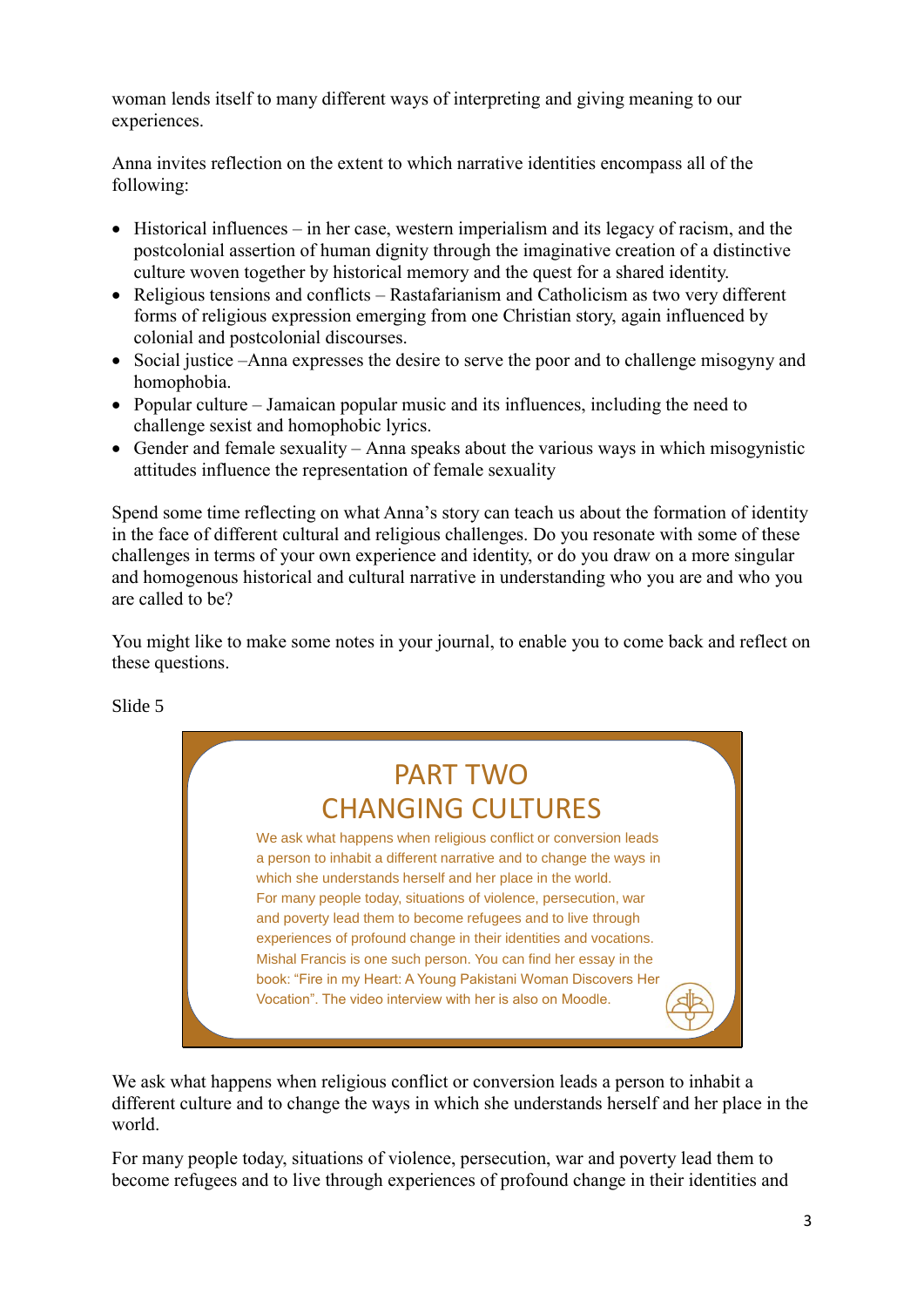woman lends itself to many different ways of interpreting and giving meaning to our experiences.

Anna invites reflection on the extent to which narrative identities encompass all of the following:

- Historical influences in her case, western imperialism and its legacy of racism, and the postcolonial assertion of human dignity through the imaginative creation of a distinctive culture woven together by historical memory and the quest for a shared identity.
- Religious tensions and conflicts Rastafarianism and Catholicism as two very different forms of religious expression emerging from one Christian story, again influenced by colonial and postcolonial discourses.
- Social justice –Anna expresses the desire to serve the poor and to challenge misogyny and homophobia.
- Popular culture Jamaican popular music and its influences, including the need to challenge sexist and homophobic lyrics.
- Gender and female sexuality Anna speaks about the various ways in which misogynistic attitudes influence the representation of female sexuality

Spend some time reflecting on what Anna's story can teach us about the formation of identity in the face of different cultural and religious challenges. Do you resonate with some of these challenges in terms of your own experience and identity, or do you draw on a more singular and homogenous historical and cultural narrative in understanding who you are and who you are called to be?

You might like to make some notes in your journal, to enable you to come back and reflect on these questions.

Slide 5

# PART TWO CHANGING CULTURES

We ask what happens when religious conflict or conversion leads a person to inhabit a different narrative and to change the ways in which she understands herself and her place in the world. For many people today, situations of violence, persecution, war and poverty lead them to become refugees and to live through experiences of profound change in their identities and vocations. Mishal Francis is one such person. You can find her essay in the book: "Fire in my Heart: A Young Pakistani Woman Discovers Her Vocation". The video interview with her is also on Moodle.

We ask what happens when religious conflict or conversion leads a person to inhabit a different culture and to change the ways in which she understands herself and her place in the world.

For many people today, situations of violence, persecution, war and poverty lead them to become refugees and to live through experiences of profound change in their identities and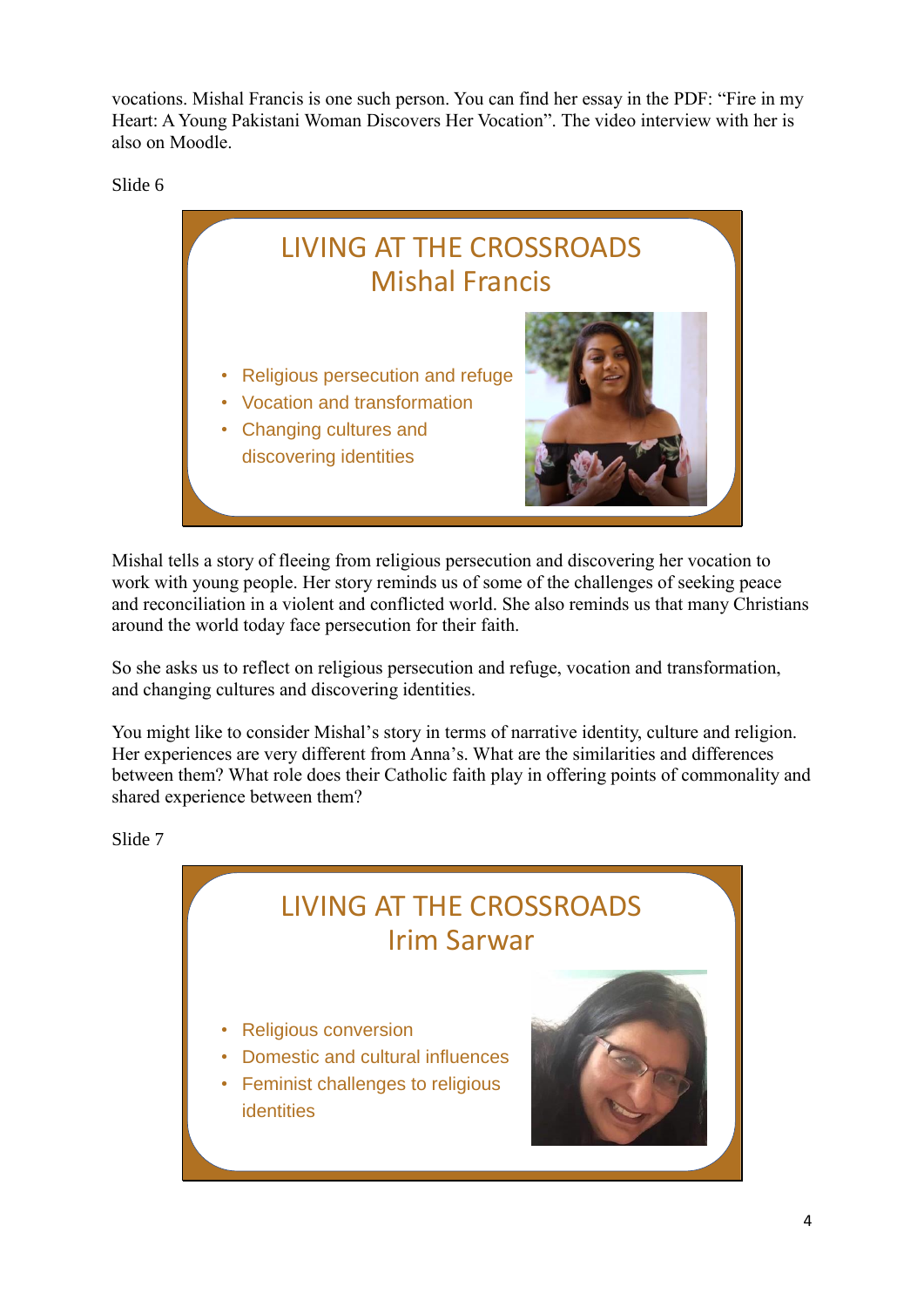vocations. Mishal Francis is one such person. You can find her essay in the PDF: "Fire in my Heart: A Young Pakistani Woman Discovers Her Vocation". The video interview with her is also on Moodle.

Slide 6



Mishal tells a story of fleeing from religious persecution and discovering her vocation to work with young people. Her story reminds us of some of the challenges of seeking peace and reconciliation in a violent and conflicted world. She also reminds us that many Christians around the world today face persecution for their faith.

So she asks us to reflect on religious persecution and refuge, vocation and transformation, and changing cultures and discovering identities.

You might like to consider Mishal's story in terms of narrative identity, culture and religion. Her experiences are very different from Anna's. What are the similarities and differences between them? What role does their Catholic faith play in offering points of commonality and shared experience between them?

Slide 7

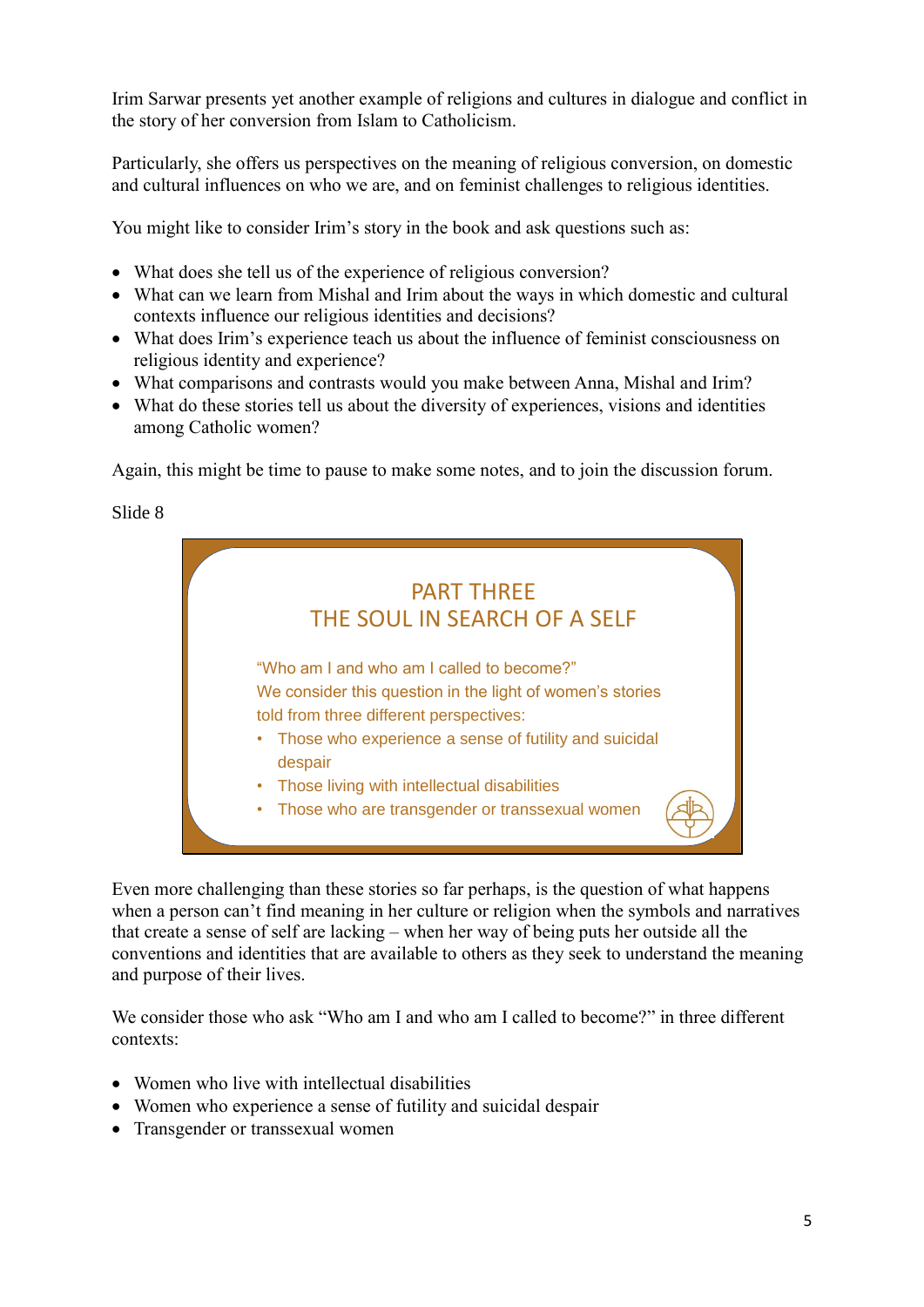Irim Sarwar presents yet another example of religions and cultures in dialogue and conflict in the story of her conversion from Islam to Catholicism.

Particularly, she offers us perspectives on the meaning of religious conversion, on domestic and cultural influences on who we are, and on feminist challenges to religious identities.

You might like to consider Irim's story in the book and ask questions such as:

- What does she tell us of the experience of religious conversion?
- What can we learn from Mishal and Irim about the ways in which domestic and cultural contexts influence our religious identities and decisions?
- What does Irim's experience teach us about the influence of feminist consciousness on religious identity and experience?
- What comparisons and contrasts would you make between Anna, Mishal and Irim?
- What do these stories tell us about the diversity of experiences, visions and identities among Catholic women?

Again, this might be time to pause to make some notes, and to join the discussion forum.

Slide 8



Even more challenging than these stories so far perhaps, is the question of what happens when a person can't find meaning in her culture or religion when the symbols and narratives that create a sense of self are lacking – when her way of being puts her outside all the conventions and identities that are available to others as they seek to understand the meaning and purpose of their lives.

We consider those who ask "Who am I and who am I called to become?" in three different contexts:

- Women who live with intellectual disabilities
- Women who experience a sense of futility and suicidal despair
- Transgender or transsexual women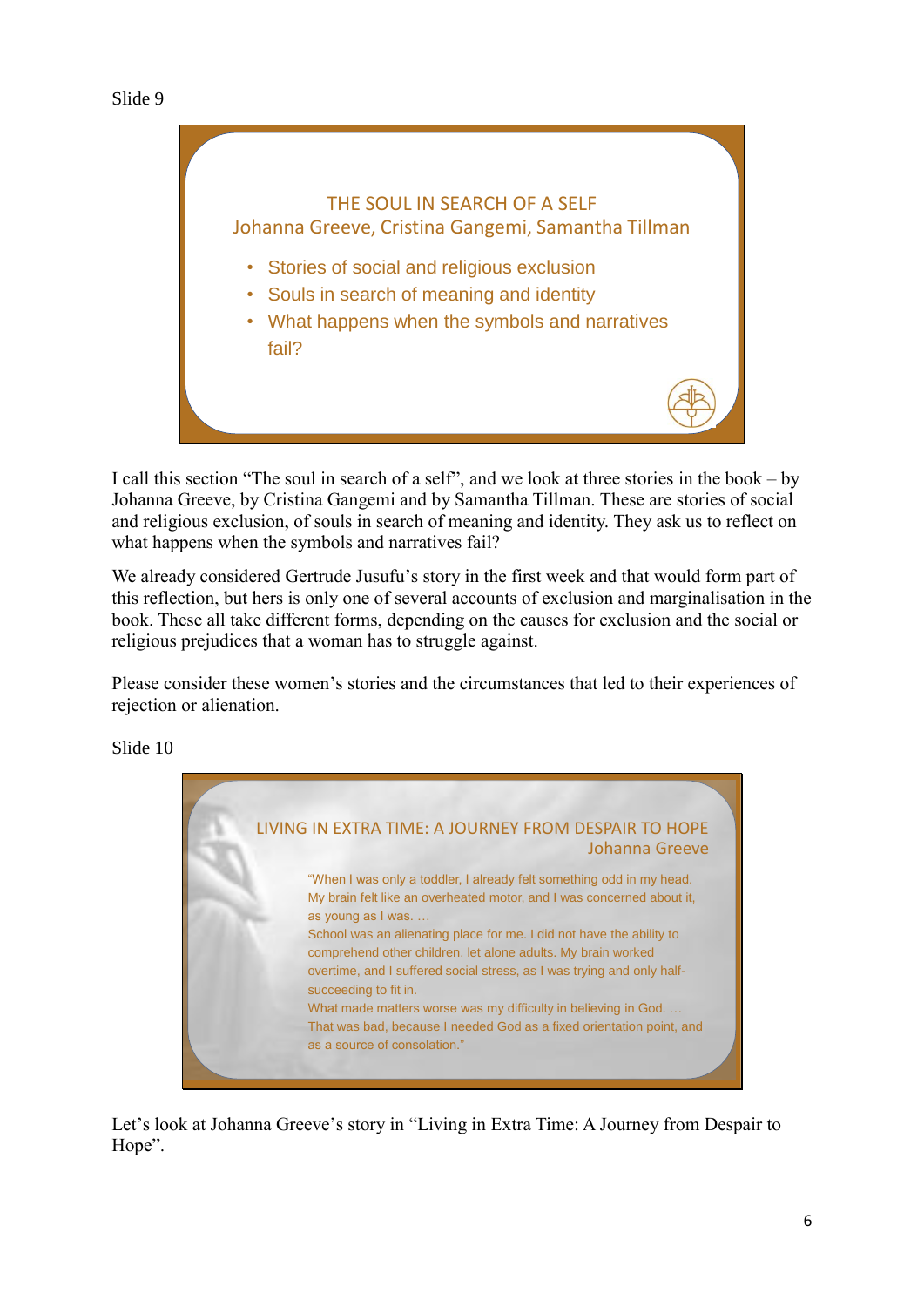

I call this section "The soul in search of a self", and we look at three stories in the book – by Johanna Greeve, by Cristina Gangemi and by Samantha Tillman. These are stories of social and religious exclusion, of souls in search of meaning and identity. They ask us to reflect on what happens when the symbols and narratives fail?

We already considered Gertrude Jusufu's story in the first week and that would form part of this reflection, but hers is only one of several accounts of exclusion and marginalisation in the book. These all take different forms, depending on the causes for exclusion and the social or religious prejudices that a woman has to struggle against.

Please consider these women's stories and the circumstances that led to their experiences of rejection or alienation.

Slide 10



Let's look at Johanna Greeve's story in "Living in Extra Time: A Journey from Despair to Hope".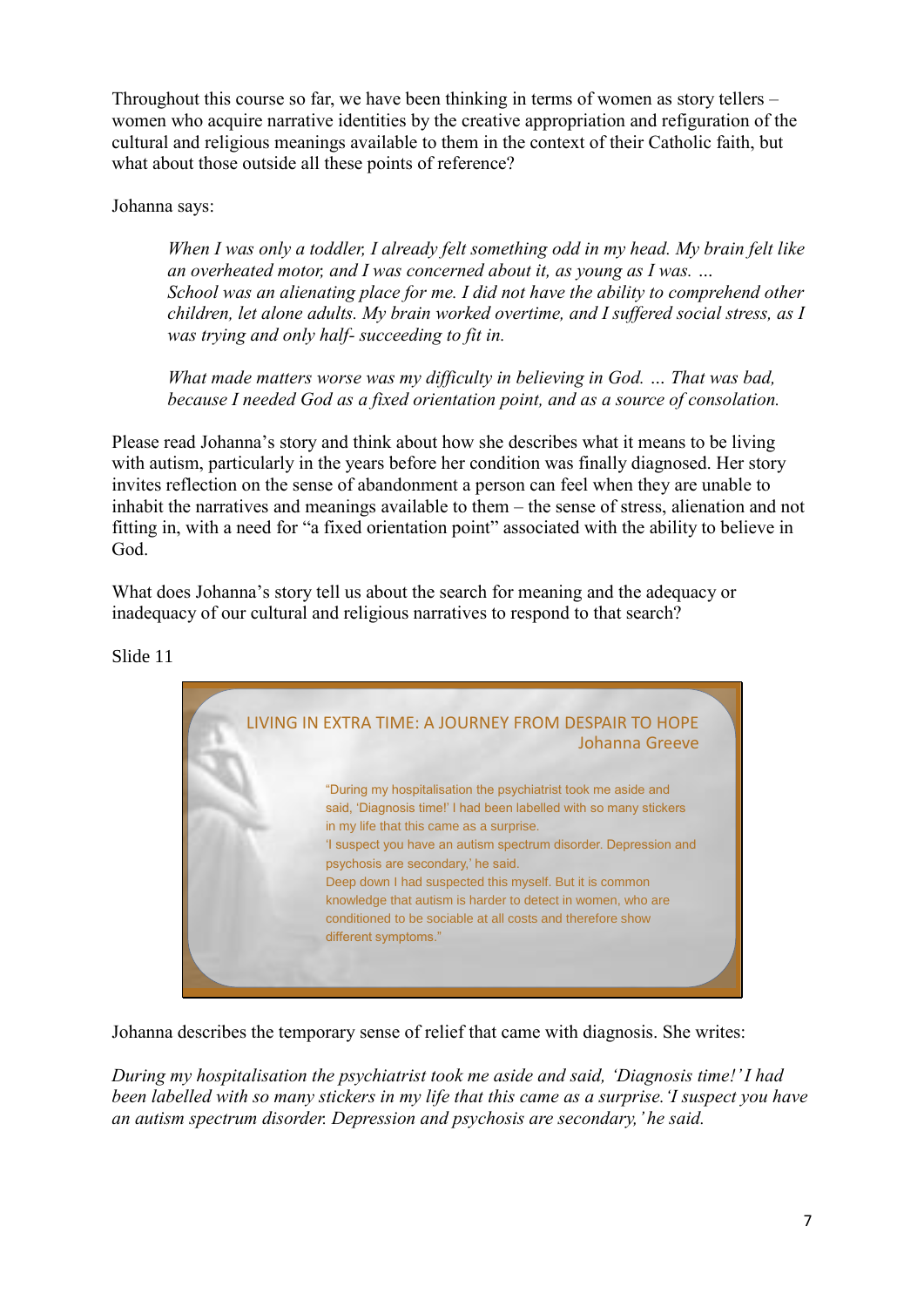Throughout this course so far, we have been thinking in terms of women as story tellers – women who acquire narrative identities by the creative appropriation and refiguration of the cultural and religious meanings available to them in the context of their Catholic faith, but what about those outside all these points of reference?

Johanna says:

*When I was only a toddler, I already felt something odd in my head. My brain felt like an overheated motor, and I was concerned about it, as young as I was. … School was an alienating place for me. I did not have the ability to comprehend other children, let alone adults. My brain worked overtime, and I suffered social stress, as I was trying and only half- succeeding to fit in.*

*What made matters worse was my difficulty in believing in God. … That was bad, because I needed God as a fixed orientation point, and as a source of consolation.*

Please read Johanna's story and think about how she describes what it means to be living with autism, particularly in the years before her condition was finally diagnosed. Her story invites reflection on the sense of abandonment a person can feel when they are unable to inhabit the narratives and meanings available to them – the sense of stress, alienation and not fitting in, with a need for "a fixed orientation point" associated with the ability to believe in God.

What does Johanna's story tell us about the search for meaning and the adequacy or inadequacy of our cultural and religious narratives to respond to that search?



Slide 11

Johanna describes the temporary sense of relief that came with diagnosis. She writes:

*During my hospitalisation the psychiatrist took me aside and said, 'Diagnosis time!' I had been labelled with so many stickers in my life that this came as a surprise.'I suspect you have an autism spectrum disorder. Depression and psychosis are secondary,' he said.*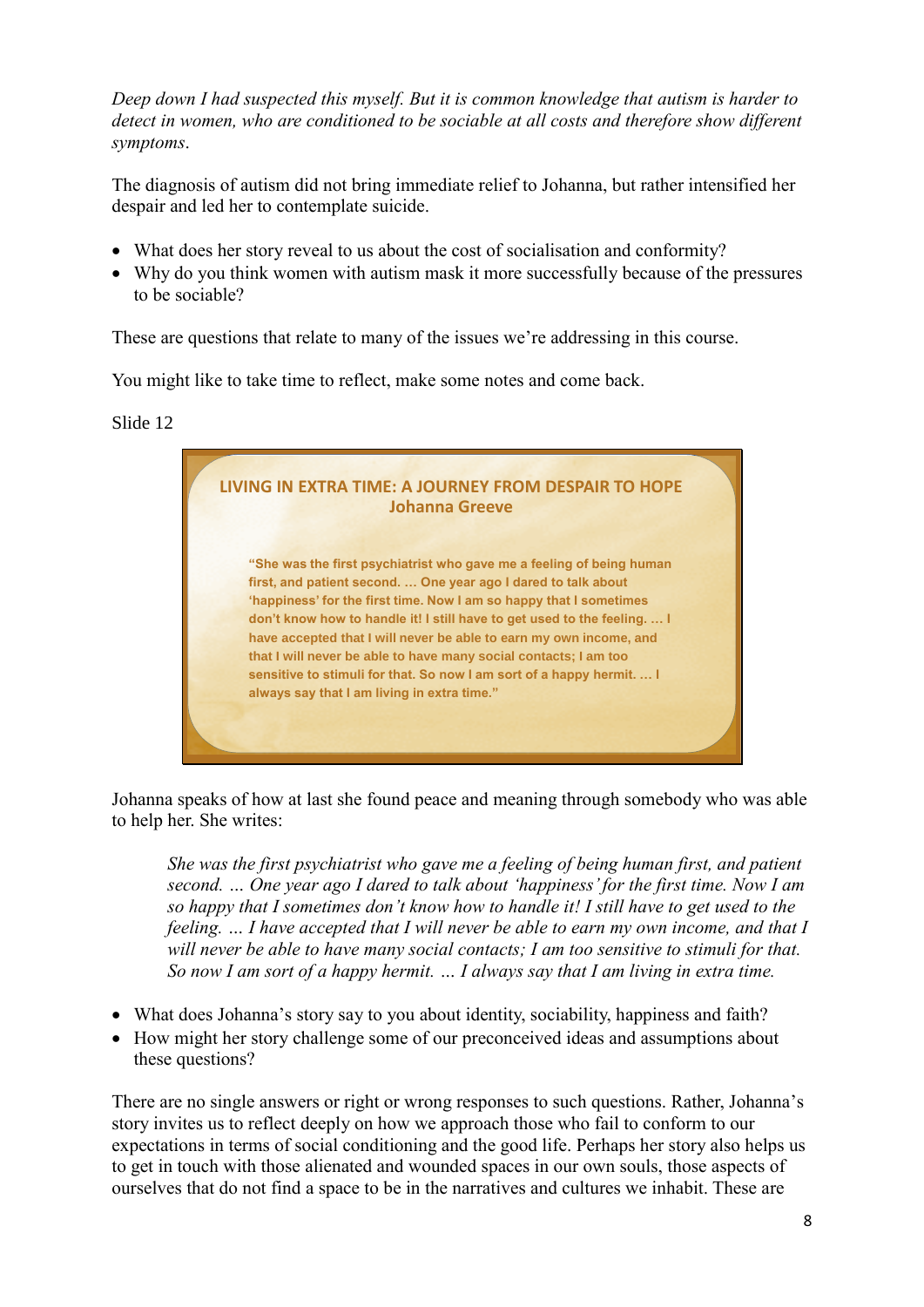*Deep down I had suspected this myself. But it is common knowledge that autism is harder to detect in women, who are conditioned to be sociable at all costs and therefore show different symptoms*.

The diagnosis of autism did not bring immediate relief to Johanna, but rather intensified her despair and led her to contemplate suicide.

- What does her story reveal to us about the cost of socialisation and conformity?
- Why do you think women with autism mask it more successfully because of the pressures to be sociable?

These are questions that relate to many of the issues we're addressing in this course.

You might like to take time to reflect, make some notes and come back.

Slide 12



Johanna speaks of how at last she found peace and meaning through somebody who was able to help her. She writes:

*She was the first psychiatrist who gave me a feeling of being human first, and patient second. … One year ago I dared to talk about 'happiness' for the first time. Now I am so happy that I sometimes don't know how to handle it! I still have to get used to the feeling. … I have accepted that I will never be able to earn my own income, and that I will never be able to have many social contacts; I am too sensitive to stimuli for that. So now I am sort of a happy hermit. … I always say that I am living in extra time.*

- What does Johanna's story say to you about identity, sociability, happiness and faith?
- How might her story challenge some of our preconceived ideas and assumptions about these questions?

There are no single answers or right or wrong responses to such questions. Rather, Johanna's story invites us to reflect deeply on how we approach those who fail to conform to our expectations in terms of social conditioning and the good life. Perhaps her story also helps us to get in touch with those alienated and wounded spaces in our own souls, those aspects of ourselves that do not find a space to be in the narratives and cultures we inhabit. These are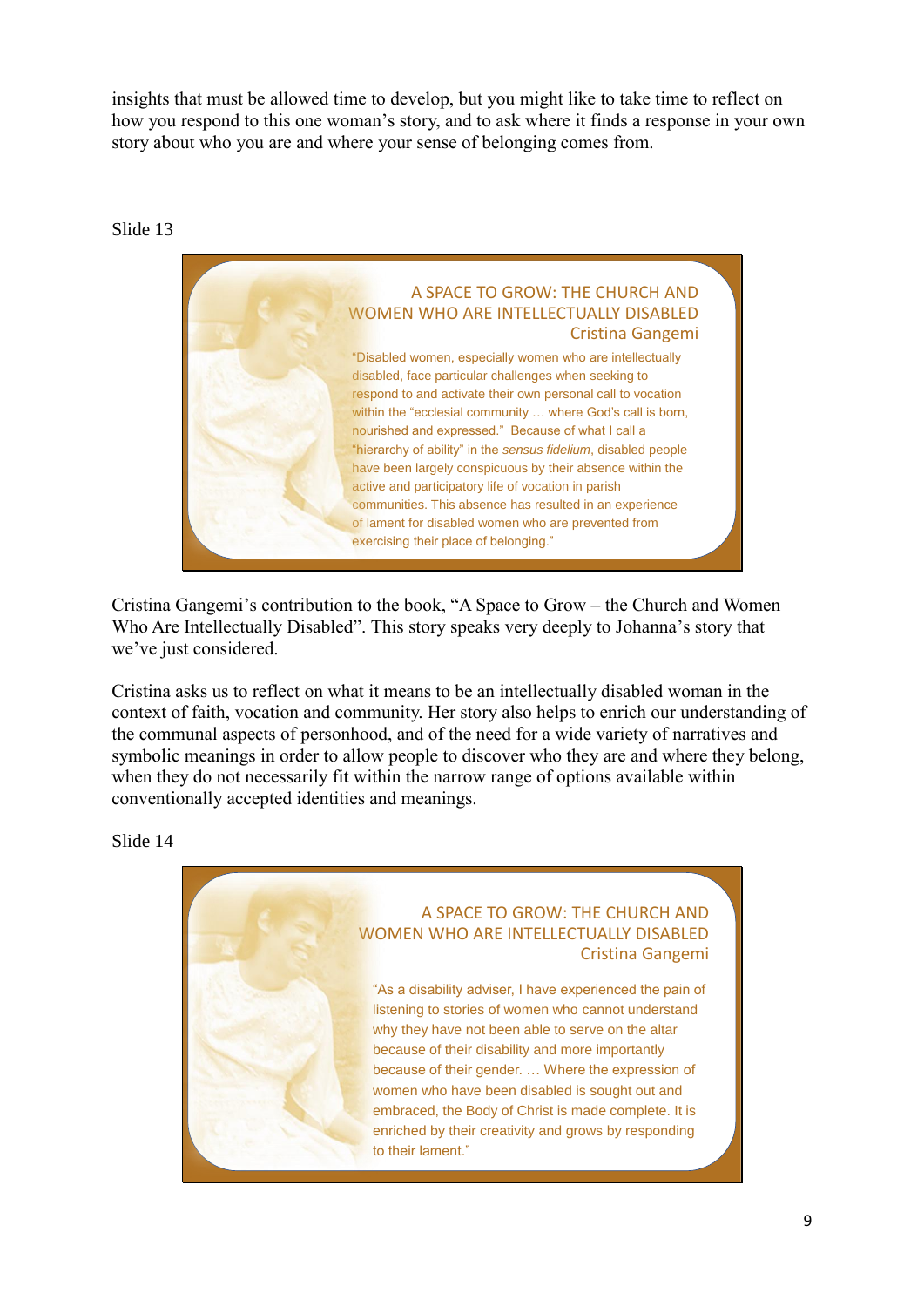insights that must be allowed time to develop, but you might like to take time to reflect on how you respond to this one woman's story, and to ask where it finds a response in your own story about who you are and where your sense of belonging comes from.

#### Slide 13



Cristina Gangemi's contribution to the book, "A Space to Grow – the Church and Women Who Are Intellectually Disabled". This story speaks very deeply to Johanna's story that we've just considered.

Cristina asks us to reflect on what it means to be an intellectually disabled woman in the context of faith, vocation and community. Her story also helps to enrich our understanding of the communal aspects of personhood, and of the need for a wide variety of narratives and symbolic meanings in order to allow people to discover who they are and where they belong, when they do not necessarily fit within the narrow range of options available within conventionally accepted identities and meanings.

Slide 14

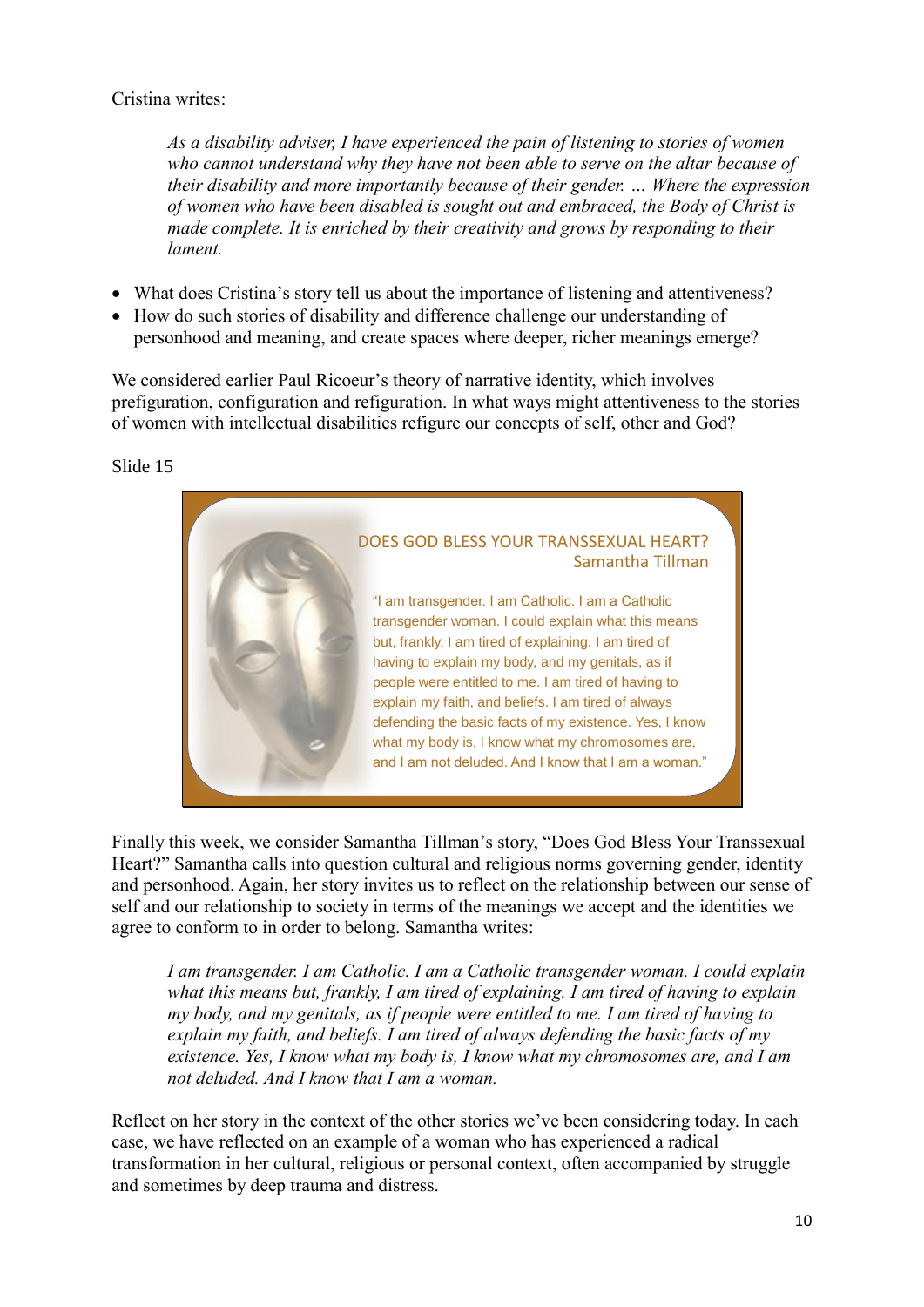## Cristina writes:

*As a disability adviser, I have experienced the pain of listening to stories of women who cannot understand why they have not been able to serve on the altar because of their disability and more importantly because of their gender. … Where the expression of women who have been disabled is sought out and embraced, the Body of Christ is made complete. It is enriched by their creativity and grows by responding to their lament.*

- What does Cristina's story tell us about the importance of listening and attentiveness?
- How do such stories of disability and difference challenge our understanding of personhood and meaning, and create spaces where deeper, richer meanings emerge?

We considered earlier Paul Ricoeur's theory of narrative identity, which involves prefiguration, configuration and refiguration. In what ways might attentiveness to the stories of women with intellectual disabilities refigure our concepts of self, other and God?

#### Slide 15



Finally this week, we consider Samantha Tillman's story, "Does God Bless Your Transsexual Heart?" Samantha calls into question cultural and religious norms governing gender, identity and personhood. Again, her story invites us to reflect on the relationship between our sense of self and our relationship to society in terms of the meanings we accept and the identities we agree to conform to in order to belong. Samantha writes:

*I am transgender. I am Catholic. I am a Catholic transgender woman. I could explain what this means but, frankly, I am tired of explaining. I am tired of having to explain my body, and my genitals, as if people were entitled to me. I am tired of having to explain my faith, and beliefs. I am tired of always defending the basic facts of my existence. Yes, I know what my body is, I know what my chromosomes are, and I am not deluded. And I know that I am a woman.*

Reflect on her story in the context of the other stories we've been considering today. In each case, we have reflected on an example of a woman who has experienced a radical transformation in her cultural, religious or personal context, often accompanied by struggle and sometimes by deep trauma and distress.